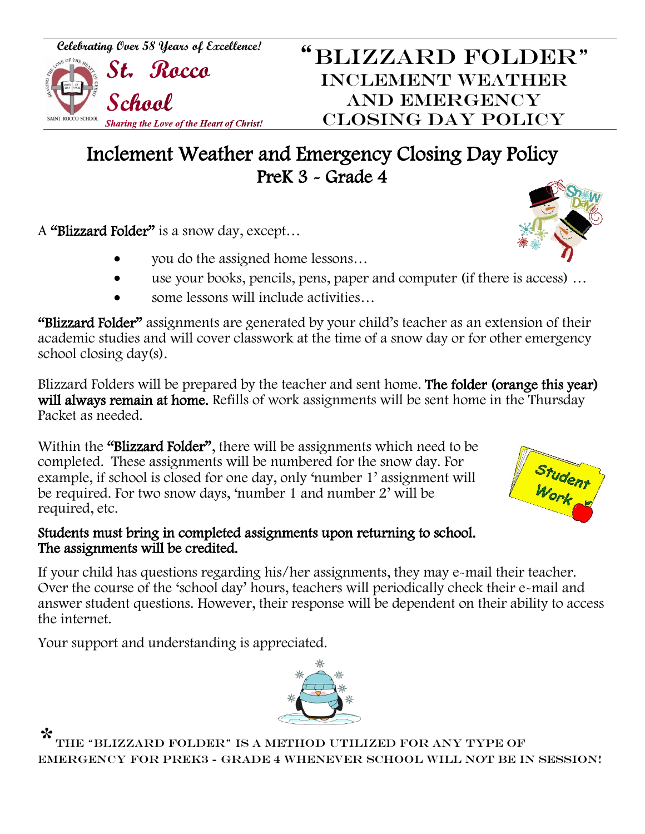## Inclement Weather and Emergency Closing Day Policy PreK 3 - Grade 4

A "Blizzard Folder" is a snow day, except…

- you do the assigned home lessons…
- use your books, pencils, pens, paper and computer (if there is access) …
- some lessons will include activities…

"Blizzard Folder" assignments are generated by your child's teacher as an extension of their academic studies and will cover classwork at the time of a snow day or for other emergency school closing day(s).

Blizzard Folders will be prepared by the teacher and sent home. The folder (orange this year) will always remain at home. Refills of work assignments will be sent home in the Thursday Packet as needed.

Within the "Blizzard Folder", there will be assignments which need to be completed. These assignments will be numbered for the snow day. For example, if school is closed for one day, only 'number 1' assignment will be required. For two snow days, 'number 1 and number 2' will be required, etc.

## Students must bring in completed assignments upon returning to school. The assignments will be credited.

If your child has questions regarding his/her assignments, they may e-mail their teacher. Over the course of the 'school day' hours, teachers will periodically check their e-mail and answer student questions. However, their response will be dependent on their ability to access the internet.

Your support and understanding is appreciated.

\* the "Blizzard Folder" is a method utilized for any type of emergency FOR PREK3 - Grade 4 whenever school will not be in session!







*Celebrating Over 58 Years of Excellence!* "BLIZZARD FOLDER"<br>"BLIZZARD FOLDER"

SAINT ROCCO SCHOOL